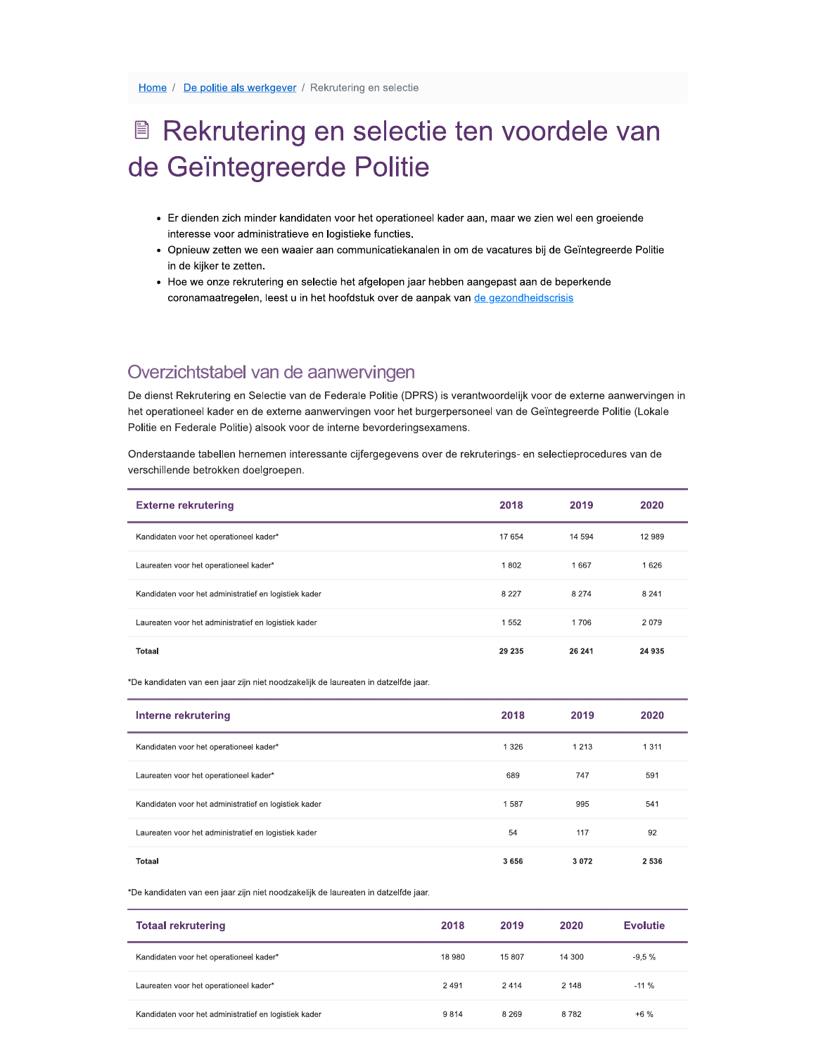## Rekrutering en selectie ten voordele van de Geïntegreerde Politie

- Er dienden zich minder kandidaten voor het operationeel kader aan, maar we zien wel een groeiende interesse voor administratieve en logistieke functies.<br>Opnieuw zetten we een waaier aan communicatiekan:
- ten we een waaier aan communicatiekanalen in om de vacatures bij de Geïntegreerde Politie in de kiiker te zetten.
- Hoe we onze rekrutering en selectie het afgelopen jaar hebben aangepast aan de beperkende coronamaatregelen, leest u in het hoofdstuk over de aanpak van de gezondheidscrisis

De dienst Rekrutering en Selectie van de Federale Politie (DPRS) is verantwoordelijk voor de externe aanwervingen in 1 de gezondheidscrisis<br>
antwoordelijk voor de externe aanwervingen in<br>
oneel van de Geïntegreerde Politie (Lokale<br>
kruterings- en selectieprocedures van de het operationeel kader en de externe aanwervingen voor het burgerpersoneel van de Geïntegreerde Politie (Lokale zichtstabel van de aanwervingter<br>
Start Rekrutering en Selectie van de Federale Portionel kader en de externe aanwervingen van Federale Politie)<br>
In Federale Politie) alsook voor de interne bevaande tabellen hernemen inter Politie en Federale Politie) alsook voor de interne bevorderingsexamens.<br>Onderstaande tabellen hernemen interessante ciifergegevens over de rekr

| Overzichtstabel van de aanwervingen                                                                                                                                                                                                                                                                                 |         |         |         |
|---------------------------------------------------------------------------------------------------------------------------------------------------------------------------------------------------------------------------------------------------------------------------------------------------------------------|---------|---------|---------|
| De dienst Rekrutering en Selectie van de Federale Politie (DPRS) is verantwoordelijk voor de externe aanwervingen in<br>het operationeel kader en de externe aanwervingen voor het burgerpersoneel van de Geïntegreerde Politie (Lokale<br>Politie en Federale Politie) alsook voor de interne bevorderingsexamens. |         |         |         |
| Onderstaande tabellen hernemen interessante cijfergegevens over de rekruterings- en selectieprocedures van de<br>verschillende betrokken doelgroepen.                                                                                                                                                               |         |         |         |
| <b>Externe rekrutering</b>                                                                                                                                                                                                                                                                                          | 2018    | 2019    | 2020    |
| Kandidaten voor het operationeel kader*                                                                                                                                                                                                                                                                             | 17 654  | 14 594  | 12 989  |
| Laureaten voor het operationeel kader*                                                                                                                                                                                                                                                                              | 1802    | 1667    | 1626    |
| Kandidaten voor het administratief en logistiek kader                                                                                                                                                                                                                                                               | 8 2 2 7 | 8 2 7 4 | 8 2 4 1 |
| Laureaten voor het administratief en logistiek kader                                                                                                                                                                                                                                                                | 1552    | 1706    | 2079    |
| Totaal                                                                                                                                                                                                                                                                                                              | 29 235  | 26 241  | 24 935  |

\*De kandidaten van een jaar zijn niet noodzakelijk de laureaten in datzelfde jaar.

| Interne rekrutering                                   | 2018    | 2019    | 2020    |
|-------------------------------------------------------|---------|---------|---------|
| Kandidaten voor het operationeel kader*               | 1 3 2 6 | 1 2 1 3 | 1 3 1 1 |
| Laureaten voor het operationeel kader*                | 689     | 747     | 591     |
| Kandidaten voor het administratief en logistiek kader | 1587    | 995     | 541     |
| Laureaten voor het administratief en logistiek kader  | 54      | 117     | 92      |
| Totaal                                                | 3656    | 3072    | 2 5 3 6 |

\*De kandidaten van een jaar zijn niet noodzakelijk de laureaten in datzelfde jaar.

| <b>Totaal rekrutering</b>                             | 2018   | 2019    | 2020    | <b>Evolutie</b> |
|-------------------------------------------------------|--------|---------|---------|-----------------|
| Kandidaten voor het operationeel kader*               | 18 980 | 15 807  | 14 300  | $-9.5%$         |
| Laureaten voor het operationeel kader*                | 2491   | 2414    | 2 1 4 8 | $-11%$          |
| Kandidaten voor het administratief en logistiek kader | 9814   | 8 2 6 9 | 8782    | $+6%$           |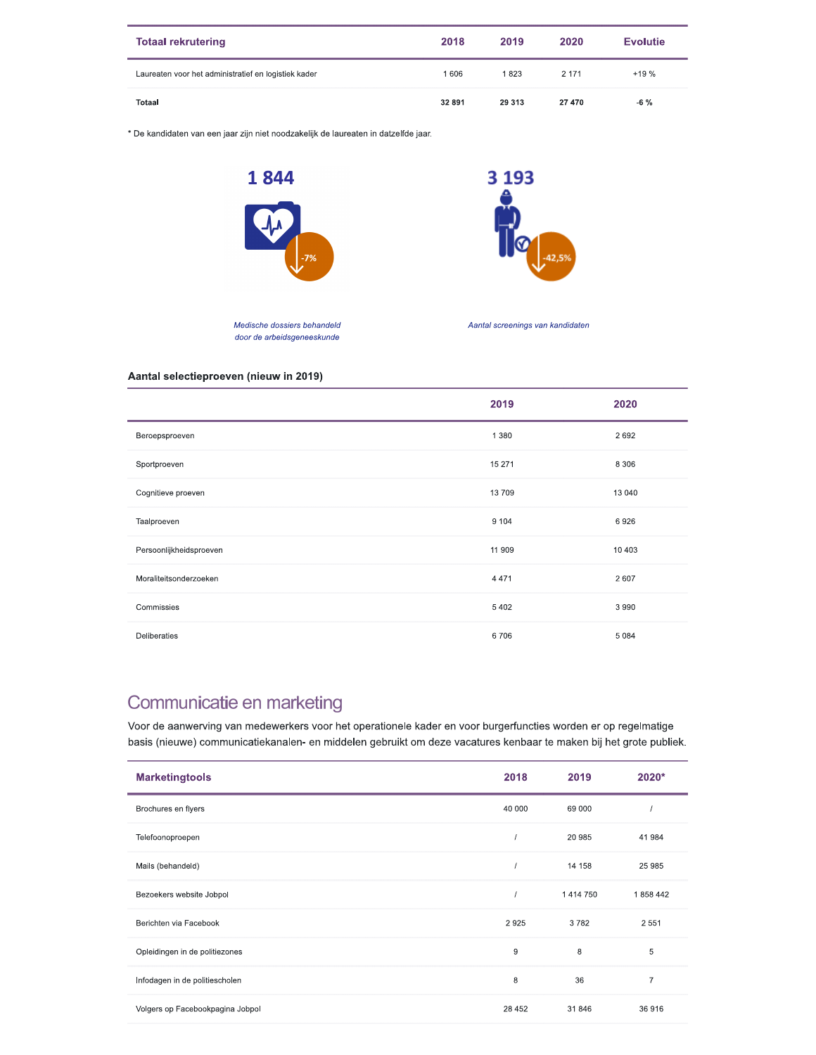| <b>Totaal rekrutering</b>                            | 2018   | 2019    | 2020    | <b>Evolutie</b> |
|------------------------------------------------------|--------|---------|---------|-----------------|
| Laureaten voor het administratief en logistiek kader | 1606   | 1823    | 2 1 7 1 | $+19%$          |
| <b>Totaal</b>                                        | 32 891 | 29 3 13 | 27 470  | $-6\%$          |

\* De kandidaten van een jaar zijn niet noodzakelijk de laureaten in datzelfde jaar.





Medische dossiers behandeld door de arbeidsgeneeskunde

Aantal screenings van kandidaten

## Aantal selectieproeven (nieuw in 2019)

|                         | 2019    | 2020    |
|-------------------------|---------|---------|
| Beroepsproeven          | 1 3 8 0 | 2692    |
| Sportproeven            | 15 271  | 8 3 0 6 |
| Cognitieve proeven      | 13709   | 13 040  |
| Taalproeven             | 9 1 0 4 | 6926    |
| Persoonlijkheidsproeven | 11 909  | 10 403  |
| Moraliteitsonderzoeken  | 4 4 7 1 | 2607    |
| Commissies              | 5402    | 3 9 9 0 |
| Deliberaties            | 6706    | 5 0 8 4 |

## Communicatie en marketing

Voor de aanwerving van medewerkers voor het operationele kader en voor burgerfuncties worden er op regelmatige basis (nieuwe) communicatiekanalen- en middelen gebruikt om deze vacatures kenbaar te maken bij het grote publiek.

| <b>Marketingtools</b>            | 2018   | 2019          | 2020*          |
|----------------------------------|--------|---------------|----------------|
| Brochures en flyers              | 40 000 | 69 000        |                |
| Telefoonoproepen                 |        | 20 985        | 41 984         |
| Mails (behandeld)                |        | 14 158        | 25 985         |
| Bezoekers website Jobpol         |        | 1 4 1 4 7 5 0 | 1858442        |
| Berichten via Facebook           | 2925   | 3782          | 2 5 5 1        |
| Opleidingen in de politiezones   | 9      | 8             | 5              |
| Infodagen in de politiescholen   | 8      | 36            | $\overline{7}$ |
| Volgers op Facebookpagina Jobpol | 28 452 | 31846         | 36916          |